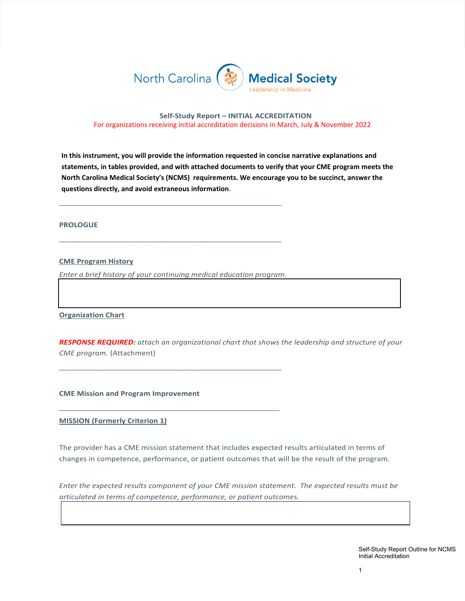

#### **Self-Study Report – INITIAL ACCREDITATION** For organizations receiving initial accreditation decisions in March, July & November 2022

**In this instrument, you will provide the information requested in concise narrative explanations and statements, in tables provided, and with attached documents to verify that your CME program meets the North Carolina Medical Society's (NCMS) requirements. We encourage you to be succinct, answer the questions directly, and avoid extraneous information**.

**PROLOGUE**

**CME Program History**

*Enter a brief history of your continuing medical education program*.

\_\_\_\_\_\_\_\_\_\_\_\_\_\_\_\_\_\_\_\_\_\_\_\_\_\_\_\_\_\_\_\_\_\_\_\_\_\_\_\_\_\_\_\_\_\_\_\_\_\_\_\_\_\_\_\_

\_\_\_\_\_\_\_\_\_\_\_\_\_\_\_\_\_\_\_\_\_\_\_\_\_\_\_\_\_\_\_\_\_\_\_\_\_\_\_\_\_\_\_\_\_\_\_\_\_\_\_\_\_

\_\_\_\_\_\_\_\_\_\_\_\_\_\_\_\_\_\_\_\_\_\_\_\_\_\_\_\_\_\_\_\_\_\_\_\_\_\_\_\_\_\_\_\_\_\_\_\_\_\_\_\_\_\_\_\_

\_\_\_\_\_\_\_\_\_\_\_\_\_\_\_\_\_\_\_\_\_\_\_\_\_\_\_\_\_\_\_\_\_\_\_\_\_\_\_\_\_\_\_\_\_\_\_\_\_\_\_\_\_\_\_\_

**Organization Chart**

*RESPONSE REQUIRED: attach an organizational chart that shows the leadership and structure of your CME program.* (Attachment)

**CME Mission and Program Improvement**

**MISSION (Formerly Criterion 1)**

The provider has a CME mission statement that includes expected results articulated in terms of changes in competence, performance, or patient outcomes that will be the result of the program.

*Enter the expected results component of your CME mission statement. The expected results must be articulated in terms of competence, performance, or patient outcomes.*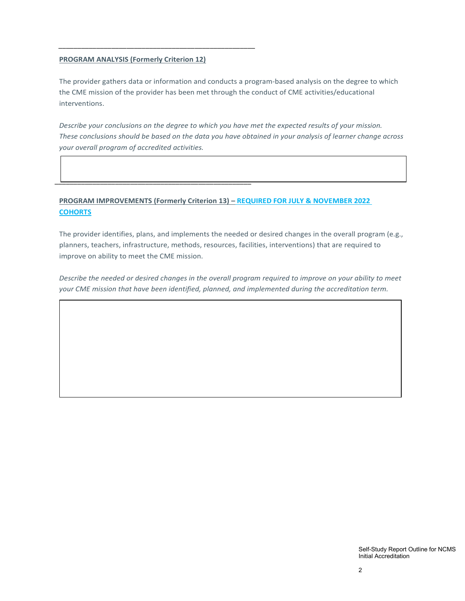#### **PROGRAM ANALYSIS (Formerly Criterion 12)**

\_\_\_\_\_\_\_\_\_\_\_\_\_\_\_\_\_\_\_\_\_\_\_\_\_\_\_\_\_\_\_\_\_\_\_\_\_\_\_\_\_\_\_\_\_\_\_\_\_\_\_\_

\_\_\_\_\_\_\_\_\_\_\_\_\_\_\_\_\_\_\_\_\_\_\_\_\_\_\_\_\_\_\_\_\_\_\_\_\_\_\_\_\_\_\_\_\_\_\_\_\_\_\_\_

The provider gathers data or information and conducts a program-based analysis on the degree to which the CME mission of the provider has been met through the conduct of CME activities/educational interventions.

*Describe your conclusions on the degree to which you have met the expected results of your mission. These conclusions should be based on the data you have obtained in your analysis of learner change across your overall program of accredited activities.* 

# **PROGRAM IMPROVEMENTS (Formerly Criterion 13) – REQUIRED FOR JULY & NOVEMBER 2022 COHORTS**

The provider identifies, plans, and implements the needed or desired changes in the overall program (e.g., planners, teachers, infrastructure, methods, resources, facilities, interventions) that are required to improve on ability to meet the CME mission.

*Describe the needed or desired changes in the overall program required to improve on your ability to meet your CME mission that have been identified, planned, and implemented during the accreditation term.*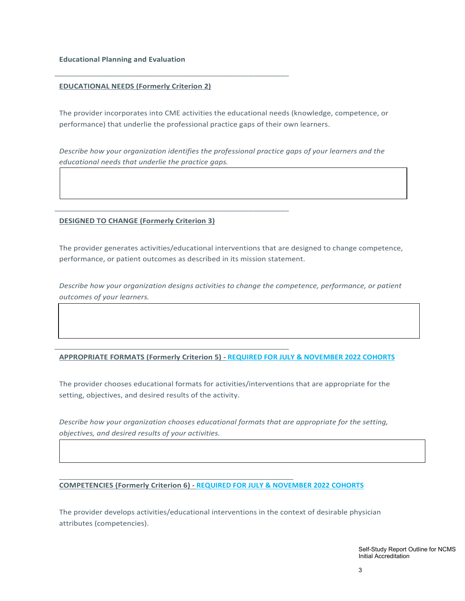**Educational Planning and Evaluation**

## **EDUCATIONAL NEEDS (Formerly Criterion 2)**

\_\_\_\_\_\_\_\_\_\_\_\_\_\_\_\_\_\_\_\_\_\_\_\_\_\_\_\_\_\_\_\_\_\_\_\_\_\_\_\_\_\_\_\_\_\_\_\_\_\_\_\_\_\_\_\_\_\_\_

\_\_\_\_\_\_\_\_\_\_\_\_\_\_\_\_\_\_\_\_\_\_\_\_\_\_\_\_\_\_\_\_\_\_\_\_\_\_\_\_\_\_\_\_\_\_\_\_\_\_\_\_\_\_\_\_\_\_\_

\_\_\_\_\_\_\_\_\_\_\_\_\_\_\_\_\_\_\_\_\_\_\_\_\_\_\_\_\_\_\_\_\_\_\_\_\_\_\_\_\_\_\_\_\_\_\_\_\_\_\_\_\_\_\_\_\_\_\_

\_\_\_\_\_\_\_\_\_\_\_\_\_\_\_\_\_\_\_\_\_\_\_\_\_\_\_\_\_\_\_\_\_\_\_\_\_\_\_\_\_\_\_\_\_\_\_\_\_\_\_\_\_\_\_\_\_\_\_

The provider incorporates into CME activities the educational needs (knowledge, competence, or performance) that underlie the professional practice gaps of their own learners.

*Describe how your organization identifies the professional practice gaps of your learners and the educational needs that underlie the practice gaps.* 

## **DESIGNED TO CHANGE (Formerly Criterion 3)**

The provider generates activities/educational interventions that are designed to change competence, performance, or patient outcomes as described in its mission statement.

*Describe how your organization designs activities to change the competence, performance, or patient outcomes of your learners.* 

# **APPROPRIATE FORMATS (Formerly Criterion 5) - REQUIRED FOR JULY & NOVEMBER 2022 COHORTS**

The provider chooses educational formats for activities/interventions that are appropriate for the setting, objectives, and desired results of the activity.

*Describe how your organization chooses educational formats that are appropriate for the setting, objectives, and desired results of your activities.* 

#### **COMPETENCIES (Formerly Criterion 6) - REQUIRED FOR JULY & NOVEMBER 2022 COHORTS**

The provider develops activities/educational interventions in the context of desirable physician attributes (competencies).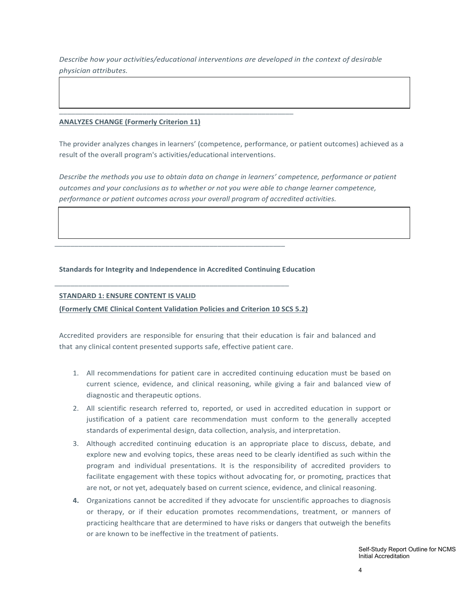*Describe how your activities/educational interventions are developed in the context of desirable physician attributes.* 

#### **ANALYZES CHANGE (Formerly Criterion 11)**

The provider analyzes changes in learners' (competence, performance, or patient outcomes) achieved as a result of the overall program's activities/educational interventions.

*Describe the methods you use to obtain data on change in learners' competence, performance or patient outcomes and your conclusions as to whether or not you were able to change learner competence, performance or patient outcomes across your overall program of accredited activities.* 

#### **Standards for Integrity and Independence in Accredited Continuing Education**

\_\_\_\_\_\_\_\_\_\_\_\_\_\_\_\_\_\_\_\_\_\_\_\_\_\_\_\_\_\_\_\_\_\_\_\_\_\_\_\_\_\_\_\_\_\_\_\_\_\_\_\_\_\_\_\_\_\_

\_\_\_\_\_\_\_\_\_\_\_\_\_\_\_\_\_\_\_\_\_\_\_\_\_\_\_\_\_\_\_\_\_\_\_\_\_\_\_\_\_\_\_\_\_\_\_\_\_\_\_\_\_\_\_\_\_\_\_

\_\_\_\_\_\_\_\_\_\_\_\_\_\_\_\_\_\_\_\_\_\_\_\_\_\_\_\_\_\_\_\_\_\_\_\_\_\_\_\_\_\_\_\_\_\_\_\_\_\_\_\_\_\_\_\_\_\_\_

#### **STANDARD 1: ENSURE CONTENT IS VALID**

## **(Formerly CME Clinical Content Validation Policies and Criterion 10 SCS 5.2)**

Accredited providers are responsible for ensuring that their education is fair and balanced and that any clinical content presented supports safe, effective patient care.

- 1. All recommendations for patient care in accredited continuing education must be based on current science, evidence, and clinical reasoning, while giving a fair and balanced view of diagnostic and therapeutic options.
- 2. All scientific research referred to, reported, or used in accredited education in support or justification of a patient care recommendation must conform to the generally accepted standards of experimental design, data collection, analysis, and interpretation.
- 3. Although accredited continuing education is an appropriate place to discuss, debate, and explore new and evolving topics, these areas need to be clearly identified as such within the program and individual presentations. It is the responsibility of accredited providers to facilitate engagement with these topics without advocating for, or promoting, practices that are not, or not yet, adequately based on current science, evidence, and clinical reasoning.
- **4.** Organizations cannot be accredited if they advocate for unscientific approaches to diagnosis or therapy, or if their education promotes recommendations, treatment, or manners of practicing healthcare that are determined to have risks or dangers that outweigh the benefits or are known to be ineffective in the treatment of patients.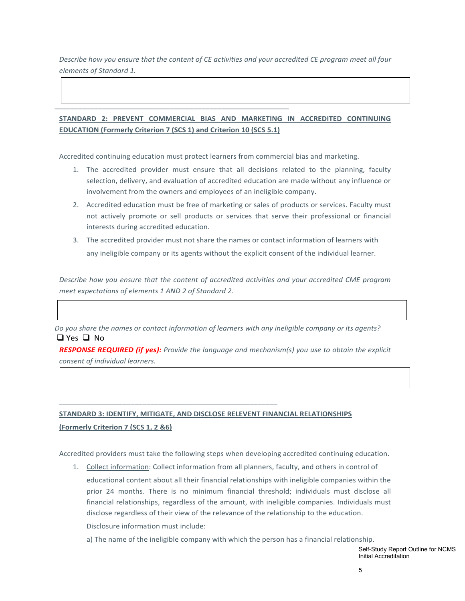*Describe how you ensure that the content of CE activities and your accredited CE program meet all four elements of Standard 1.* 

# **STANDARD 2: PREVENT COMMERCIAL BIAS AND MARKETING IN ACCREDITED CONTINUING EDUCATION (Formerly Criterion 7 (SCS 1) and Criterion 10 (SCS 5.1)**

Accredited continuing education must protect learners from commercial bias and marketing.

\_\_\_\_\_\_\_\_\_\_\_\_\_\_\_\_\_\_\_\_\_\_\_\_\_\_\_\_\_\_\_\_\_\_\_\_\_\_\_\_\_\_\_\_\_\_\_\_\_\_\_\_\_\_\_\_\_\_\_

- 1. The accredited provider must ensure that all decisions related to the planning, faculty selection, delivery, and evaluation of accredited education are made without any influence or involvement from the owners and employees of an ineligible company.
- 2. Accredited education must be free of marketing or sales of products or services. Faculty must not actively promote or sell products or services that serve their professional or financial interests during accredited education.
- 3. The accredited provider must not share the names or contact information of learners with any ineligible company or its agents without the explicit consent of the individual learner.

*Describe how you ensure that the content of accredited activities and your accredited CME program meet expectations of elements 1 AND 2 of Standard 2.* 

*Do you share the names or contact information of learners with any ineligible company or its agents?*   $\Box$  Yes  $\Box$  No

*RESPONSE REQUIRED (if yes): Provide the language and mechanism(s) you use to obtain the explicit consent of individual learners.*

# **STANDARD 3: IDENTIFY, MITIGATE, AND DISCLOSE RELEVENT FINANCIAL RELATIONSHIPS (Formerly Criterion 7 (SCS 1, 2 &6)**

\_\_\_\_\_\_\_\_\_\_\_\_\_\_\_\_\_\_\_\_\_\_\_\_\_\_\_\_\_\_\_\_\_\_\_\_\_\_\_\_\_\_\_\_\_\_\_\_\_\_\_\_\_\_\_

Accredited providers must take the following steps when developing accredited continuing education.

1. Collect information: Collect information from all planners, faculty, and others in control of educational content about all their financial relationships with ineligible companies within the prior 24 months. There is no minimum financial threshold; individuals must disclose all financial relationships, regardless of the amount, with ineligible companies. Individuals must disclose regardless of their view of the relevance of the relationship to the education. Disclosure information must include:

a) The name of the ineligible company with which the person has a financial relationship.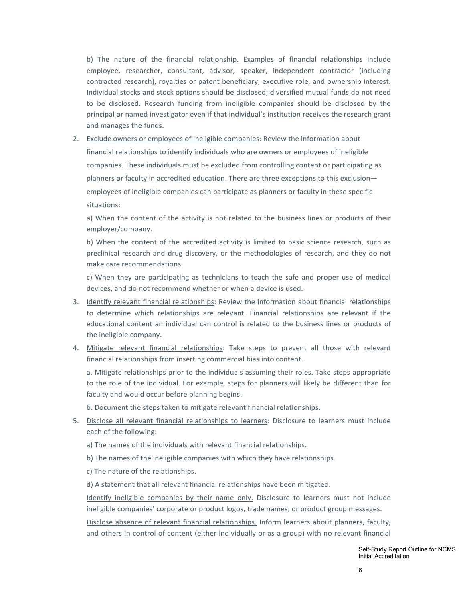b) The nature of the financial relationship. Examples of financial relationships include employee, researcher, consultant, advisor, speaker, independent contractor (including contracted research), royalties or patent beneficiary, executive role, and ownership interest. Individual stocks and stock options should be disclosed; diversified mutual funds do not need to be disclosed. Research funding from ineligible companies should be disclosed by the principal or named investigator even if that individual's institution receives the research grant and manages the funds.

2. Exclude owners or employees of ineligible companies: Review the information about financial relationships to identify individuals who are owners or employees of ineligible companies. These individuals must be excluded from controlling content or participating as planners or faculty in accredited education. There are three exceptions to this exclusion employees of ineligible companies can participate as planners or faculty in these specific situations:

a) When the content of the activity is not related to the business lines or products of their employer/company.

b) When the content of the accredited activity is limited to basic science research, such as preclinical research and drug discovery, or the methodologies of research, and they do not make care recommendations.

c) When they are participating as technicians to teach the safe and proper use of medical devices, and do not recommend whether or when a device is used.

- 3. Identify relevant financial relationships: Review the information about financial relationships to determine which relationships are relevant. Financial relationships are relevant if the educational content an individual can control is related to the business lines or products of the ineligible company.
- 4. Mitigate relevant financial relationships: Take steps to prevent all those with relevant financial relationships from inserting commercial bias into content.

a. Mitigate relationships prior to the individuals assuming their roles. Take steps appropriate to the role of the individual. For example, steps for planners will likely be different than for faculty and would occur before planning begins.

b. Document the steps taken to mitigate relevant financial relationships.

- 5. Disclose all relevant financial relationships to learners: Disclosure to learners must include each of the following:
	- a) The names of the individuals with relevant financial relationships.
	- b) The names of the ineligible companies with which they have relationships.

c) The nature of the relationships.

d) A statement that all relevant financial relationships have been mitigated.

Identify ineligible companies by their name only. Disclosure to learners must not include ineligible companies' corporate or product logos, trade names, or product group messages.

Disclose absence of relevant financial relationships. Inform learners about planners, faculty, and others in control of content (either individually or as a group) with no relevant financial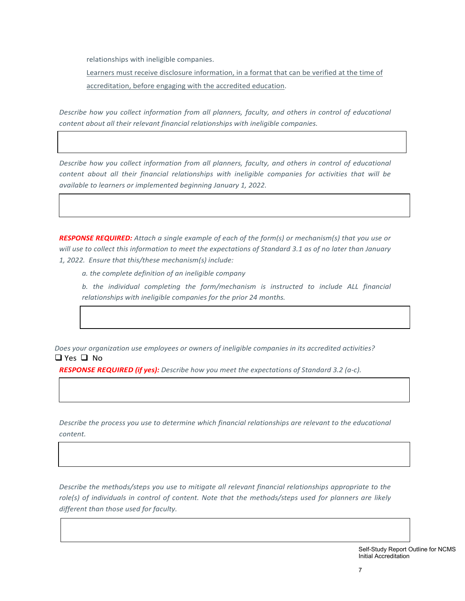relationships with ineligible companies.

Learners must receive disclosure information, in a format that can be verified at the time of accreditation, before engaging with the accredited education.

*Describe how you collect information from all planners, faculty, and others in control of educational content about all their relevant financial relationships with ineligible companies.* 

*Describe how you collect information from all planners, faculty, and others in control of educational content about all their financial relationships with ineligible companies for activities that will be available to learners or implemented beginning January 1, 2022.* 

*RESPONSE REQUIRED: Attach a single example of each of the form(s) or mechanism(s) that you use or will use to collect this information to meet the expectations of Standard 3.1 as of no later than January 1, 2022. Ensure that this/these mechanism(s) include:* 

*a. the complete definition of an ineligible company*

*b. the individual completing the form/mechanism is instructed to include ALL financial relationships with ineligible companies for the prior 24 months.*

*Does your organization use employees or owners of ineligible companies in its accredited activities?*   $\Box$  Yes  $\Box$  No

*RESPONSE REQUIRED (if yes): Describe how you meet the expectations of Standard 3.2 (a-c).*

*Describe the process you use to determine which financial relationships are relevant to the educational content.* 

*Describe the methods/steps you use to mitigate all relevant financial relationships appropriate to the role(s) of individuals in control of content. Note that the methods/steps used for planners are likely different than those used for faculty.*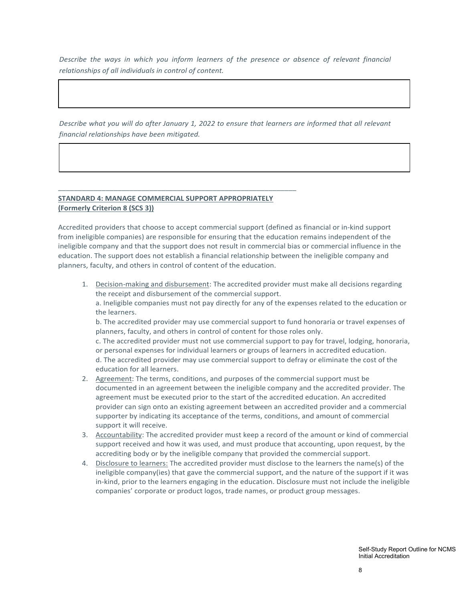*Describe the ways in which you inform learners of the presence or absence of relevant financial relationships of all individuals in control of content.* 

*Describe what you will do after January 1, 2022 to ensure that learners are informed that all relevant financial relationships have been mitigated.* 

## **STANDARD 4: MANAGE COMMERCIAL SUPPORT APPROPRIATELY (Formerly Criterion 8 (SCS 3))**

\_\_\_\_\_\_\_\_\_\_\_\_\_\_\_\_\_\_\_\_\_\_\_\_\_\_\_\_\_\_\_\_\_\_\_\_\_\_\_\_\_\_\_\_\_\_\_\_\_\_\_\_\_\_\_\_\_\_\_\_

Accredited providers that choose to accept commercial support (defined as financial or in-kind support from ineligible companies) are responsible for ensuring that the education remains independent of the ineligible company and that the support does not result in commercial bias or commercial influence in the education. The support does not establish a financial relationship between the ineligible company and planners, faculty, and others in control of content of the education.

1. Decision-making and disbursement: The accredited provider must make all decisions regarding the receipt and disbursement of the commercial support. a. Ineligible companies must not pay directly for any of the expenses related to the education or the learners.

b. The accredited provider may use commercial support to fund honoraria or travel expenses of planners, faculty, and others in control of content for those roles only.

c. The accredited provider must not use commercial support to pay for travel, lodging, honoraria, or personal expenses for individual learners or groups of learners in accredited education. d. The accredited provider may use commercial support to defray or eliminate the cost of the education for all learners.

- 2. Agreement: The terms, conditions, and purposes of the commercial support must be documented in an agreement between the ineligible company and the accredited provider. The agreement must be executed prior to the start of the accredited education. An accredited provider can sign onto an existing agreement between an accredited provider and a commercial supporter by indicating its acceptance of the terms, conditions, and amount of commercial support it will receive.
- 3. Accountability: The accredited provider must keep a record of the amount or kind of commercial support received and how it was used, and must produce that accounting, upon request, by the accrediting body or by the ineligible company that provided the commercial support.
- 4. Disclosure to learners: The accredited provider must disclose to the learners the name(s) of the ineligible company(ies) that gave the commercial support, and the nature of the support if it was in-kind, prior to the learners engaging in the education. Disclosure must not include the ineligible companies' corporate or product logos, trade names, or product group messages.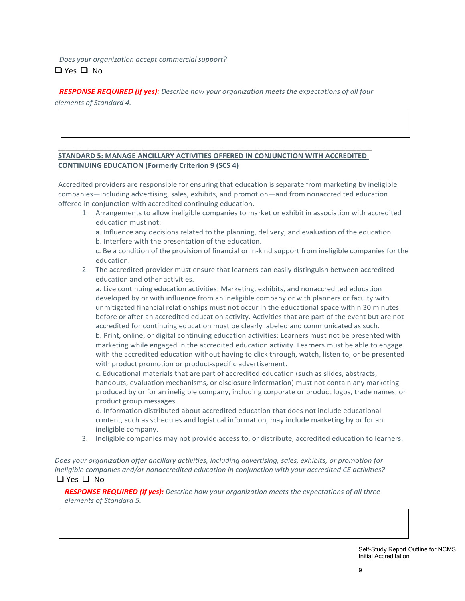*Does your organization accept commercial support?*  $\Box$  Yes  $\Box$  No

*RESPONSE REQUIRED (if yes): Describe how your organization meets the expectations of all four* 

*elements of Standard 4.* 

## \_\_\_\_\_\_\_\_\_\_\_\_\_\_\_\_\_\_\_\_\_\_\_\_\_\_\_\_\_\_\_\_\_\_\_\_\_\_\_\_\_\_\_\_\_\_\_\_\_\_\_\_\_\_\_\_\_\_\_\_\_\_\_\_\_\_\_\_\_\_\_\_\_\_\_\_\_\_\_\_\_\_\_ **STANDARD 5: MANAGE ANCILLARY ACTIVITIES OFFERED IN CONJUNCTION WITH ACCREDITED CONTINUING EDUCATION (Formerly Criterion 9 (SCS 4)**

Accredited providers are responsible for ensuring that education is separate from marketing by ineligible companies—including advertising, sales, exhibits, and promotion—and from nonaccredited education offered in conjunction with accredited continuing education.

- 1. Arrangements to allow ineligible companies to market or exhibit in association with accredited education must not:
	- a. Influence any decisions related to the planning, delivery, and evaluation of the education. b. Interfere with the presentation of the education.

c. Be a condition of the provision of financial or in-kind support from ineligible companies for the education.

2. The accredited provider must ensure that learners can easily distinguish between accredited education and other activities.

a. Live continuing education activities: Marketing, exhibits, and nonaccredited education developed by or with influence from an ineligible company or with planners or faculty with unmitigated financial relationships must not occur in the educational space within 30 minutes before or after an accredited education activity. Activities that are part of the event but are not accredited for continuing education must be clearly labeled and communicated as such.

b. Print, online, or digital continuing education activities: Learners must not be presented with marketing while engaged in the accredited education activity. Learners must be able to engage with the accredited education without having to click through, watch, listen to, or be presented with product promotion or product-specific advertisement.

c. Educational materials that are part of accredited education (such as slides, abstracts, handouts, evaluation mechanisms, or disclosure information) must not contain any marketing produced by or for an ineligible company, including corporate or product logos, trade names, or product group messages.

d. Information distributed about accredited education that does not include educational content, such as schedules and logistical information, may include marketing by or for an ineligible company.

3. Ineligible companies may not provide access to, or distribute, accredited education to learners.

*Does your organization offer ancillary activities, including advertising, sales, exhibits, or promotion for ineligible companies and/or nonaccredited education in conjunction with your accredited CE activities?*   $\Box$  Yes  $\Box$  No

*RESPONSE REQUIRED (if yes): Describe how your organization meets the expectations of all three elements of Standard 5.*